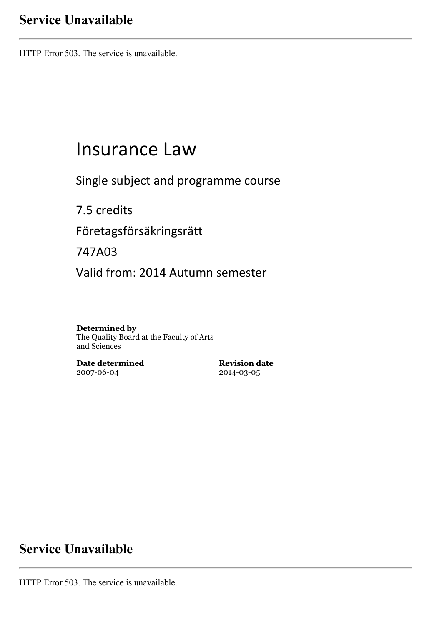## **Service Unavailable**

HTTP Error 503. The service is unavailable.

# Insurance Law

Single subject and programme course

7.5 credits Företagsförsäkringsrätt 747A03 Valid from: 2014 Autumn semester

**Determined by** The Quality Board at the Faculty of Arts and Sciences

**Date determined** 2007-06-04

**Revision date** 2014-03-05

## **Service Unavailable**

HTTP Error 503. The service is unavailable.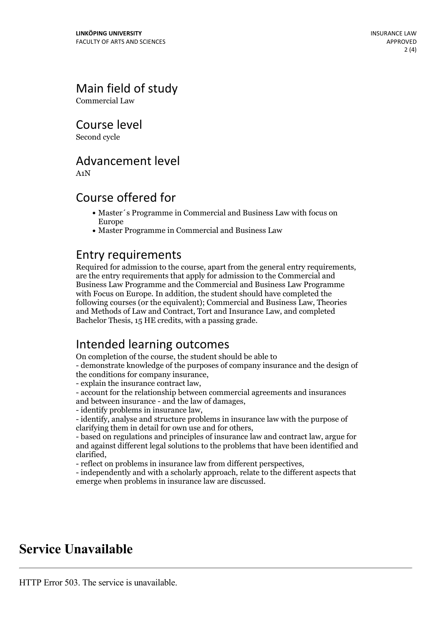## Main field of study

Commercial Law

Course level

Second cycle

## Advancement level

A1N

## Course offered for

- Master´s Programme in Commercial and Business Law with focus on Europe
- Master Programme in Commercial and Business Law

**Entry requirements**<br>Required for admission to the course, apart from the general entry requirements. are the entry requirements that apply for admission to the Commercial and Business Law Programme and the Commercial and Business Law Programme with Focus on Europe. In addition, the student should have completed the following courses (or the equivalent); Commercial and Business Law, Theories and Methods of Law and Contract, Tort and Insurance Law, and completed Bachelor Thesis, 15 HE credits, with a passing grade.

## Intended learning outcomes

On completion of the course, the student should be able to

- demonstrate knowledge of the purposes of company insurance and the design of

the conditions for company insurance,<br>
- explain the insurance contract law,<br>
- account for the relationship between commercial agreements and insurances<br>
and between insurance - and the law of damages.

- identify problems in insurance law,<br>- identify, analyse and structure problems in insurance law with the purpose of clarifying them in detail for own use and for others.

- based on regulations and principles of insurance law and contract law, argue for and against different legal solutions to the problems that have been identified and clarified, - reflect on problems in insurance law from different perspectives, - independently and with <sup>a</sup> scholarly approach, relate to the different aspects that

emerge when problems in insurance law are discussed.

## **Service Unavailable**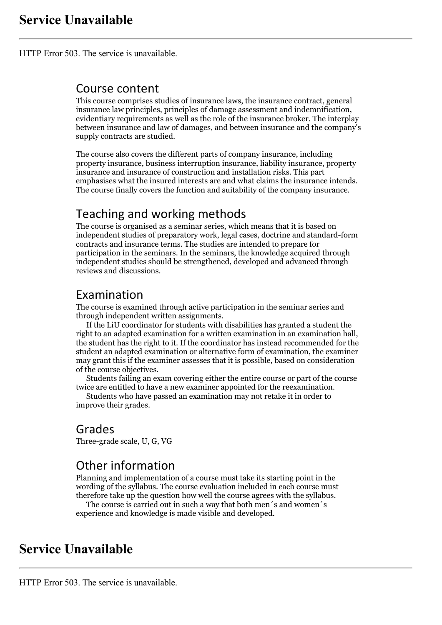HTTP Error 503. The service is unavailable.

#### Course content

This course comprises studies of insurance laws, the insurance contract, general insurance law principles, principles of damage assessment and indemnification, evidentiary requirements as well as the role of the insurance broker. The interplay between insurance and law of damages, and between insurance and the company's supply contracts are studied.

The course also covers the different parts of company insurance, including property insurance, business interruption insurance, liability insurance, property insurance and insurance of construction and installation risks. This part emphasises what the insured interests are and what claims the insurance intends. The course finally covers the function and suitability of the company insurance.

## Teaching and working methods

The course is organised as a seminar series, which means that it is based on independent studies of preparatory work, legal cases, doctrine and standard-form contracts and insurance terms. The studies are intended to prepare for participation in the seminars. In the seminars, the knowledge acquired through independent studies should be strengthened, developed and advanced through reviews and discussions.

### Examination

The course is examined through active participation in the seminar series and through independent written assignments. If the LiU coordinator for students with disabilities has granted <sup>a</sup> student the

right to an adapted examination for <sup>a</sup> written examination in an examination hall, the student has the right to it. If the coordinator has instead recommended for the student an adapted examination or alternative form of examination, the examiner may grant this if the examiner assesses that it is possible, based on consideration

Students failing an exam covering either the entire course or part of the course twice are entitled to have <sup>a</sup> new examiner appointed for the reexamination. Students who have passed an examination may not retake it in order to

improve their grades.

#### Grades

Three-grade scale, U, G, VG

### Other information

Planning and implementation of a course must take its starting point in the wording of the syllabus. The course evaluation included in each course must therefore take up the question how well the course agrees with the syllabus. The course is carried outin such <sup>a</sup> way that both men´s and women´s

experience and knowledge is made visible and developed.

## **Service Unavailable**

HTTP Error 503. The service is unavailable.